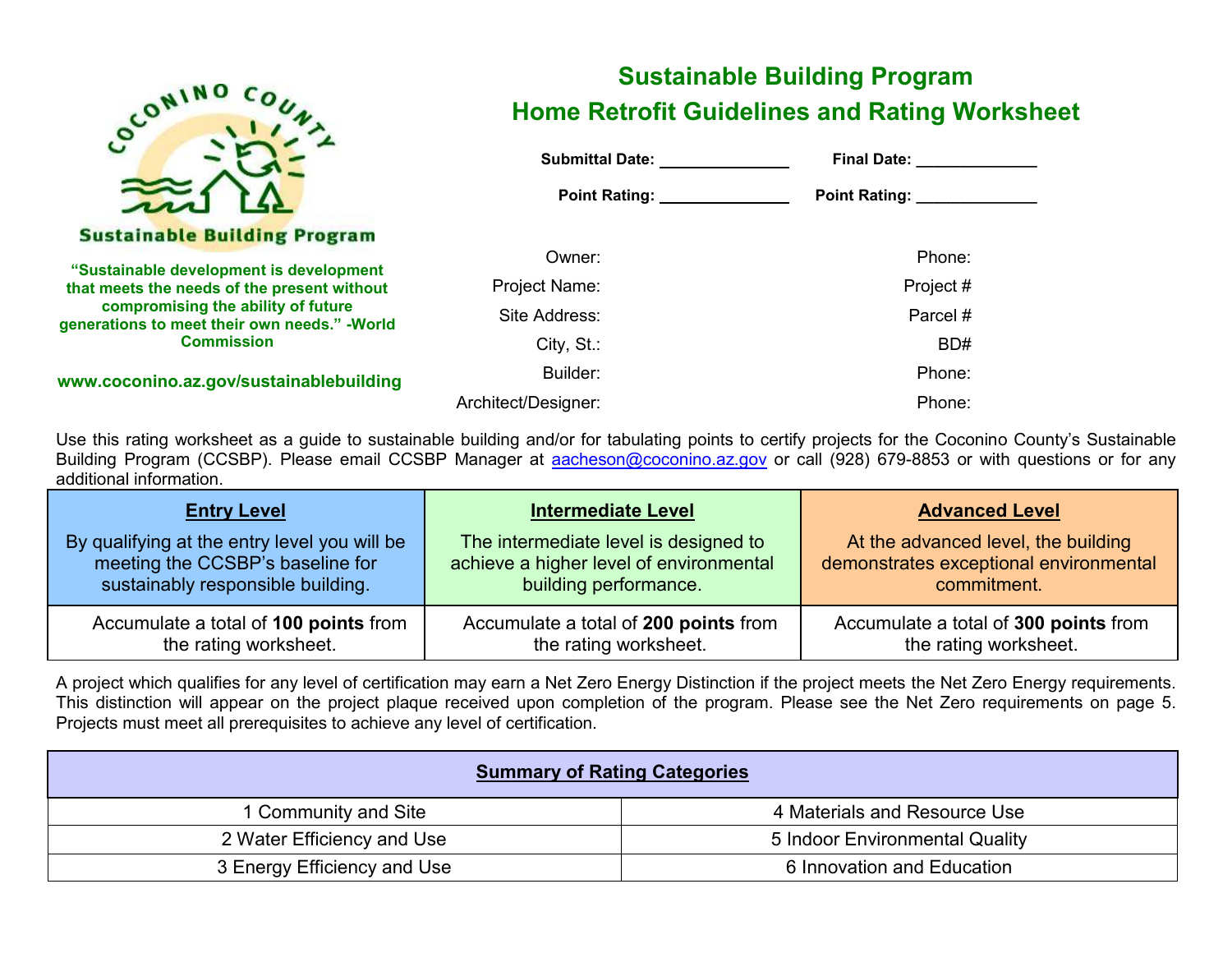

# **Sustainable Building Program Home Retrofit Guidelines and Rating Worksheet**

| <b>Submittal Date:</b> Submittal Date: | Final Date: <u>________________</u> |
|----------------------------------------|-------------------------------------|
| Point Rating: 2008                     | Point Rating: ______________        |
| Owner:                                 | Phone:                              |
| Project Name:                          | Project #                           |
| Site Address:                          | Parcel #                            |
| $City, St.$ :                          | BD#                                 |
| Builder:                               | Phone:                              |
| Architect/Designer:                    | Phone:                              |

Use this rating worksheet as a guide to sustainable building and/or for tabulating points to certify projects for the Coconino County's Sustainable Building Program (CCSBP). Please email CCSBP Manager at [aacheson@coconino.az.gov](mailto:aacheson@coconino.az.gov) or call (928) 679-8853 or with questions or for any additional information.

| <b>Entry Level</b>                           | <b>Intermediate Level</b>               | <b>Advanced Level</b>                  |
|----------------------------------------------|-----------------------------------------|----------------------------------------|
| By qualifying at the entry level you will be | The intermediate level is designed to   | At the advanced level, the building    |
| meeting the CCSBP's baseline for             | achieve a higher level of environmental | demonstrates exceptional environmental |
| sustainably responsible building.            | building performance.                   | commitment.                            |
| Accumulate a total of 100 points from        | Accumulate a total of 200 points from   | Accumulate a total of 300 points from  |
| the rating worksheet.                        | the rating worksheet.                   | the rating worksheet.                  |

A project which qualifies for any level of certification may earn a Net Zero Energy Distinction if the project meets the Net Zero Energy requirements. This distinction will appear on the project plaque received upon completion of the program. Please see the Net Zero requirements on page 5. Projects must meet all prerequisites to achieve any level of certification.

| <b>Summary of Rating Categories</b> |                                |  |  |  |  |
|-------------------------------------|--------------------------------|--|--|--|--|
| 1 Community and Site                | 4 Materials and Resource Use   |  |  |  |  |
| 2 Water Efficiency and Use          | 5 Indoor Environmental Quality |  |  |  |  |
| 3 Energy Efficiency and Use         | 6 Innovation and Education     |  |  |  |  |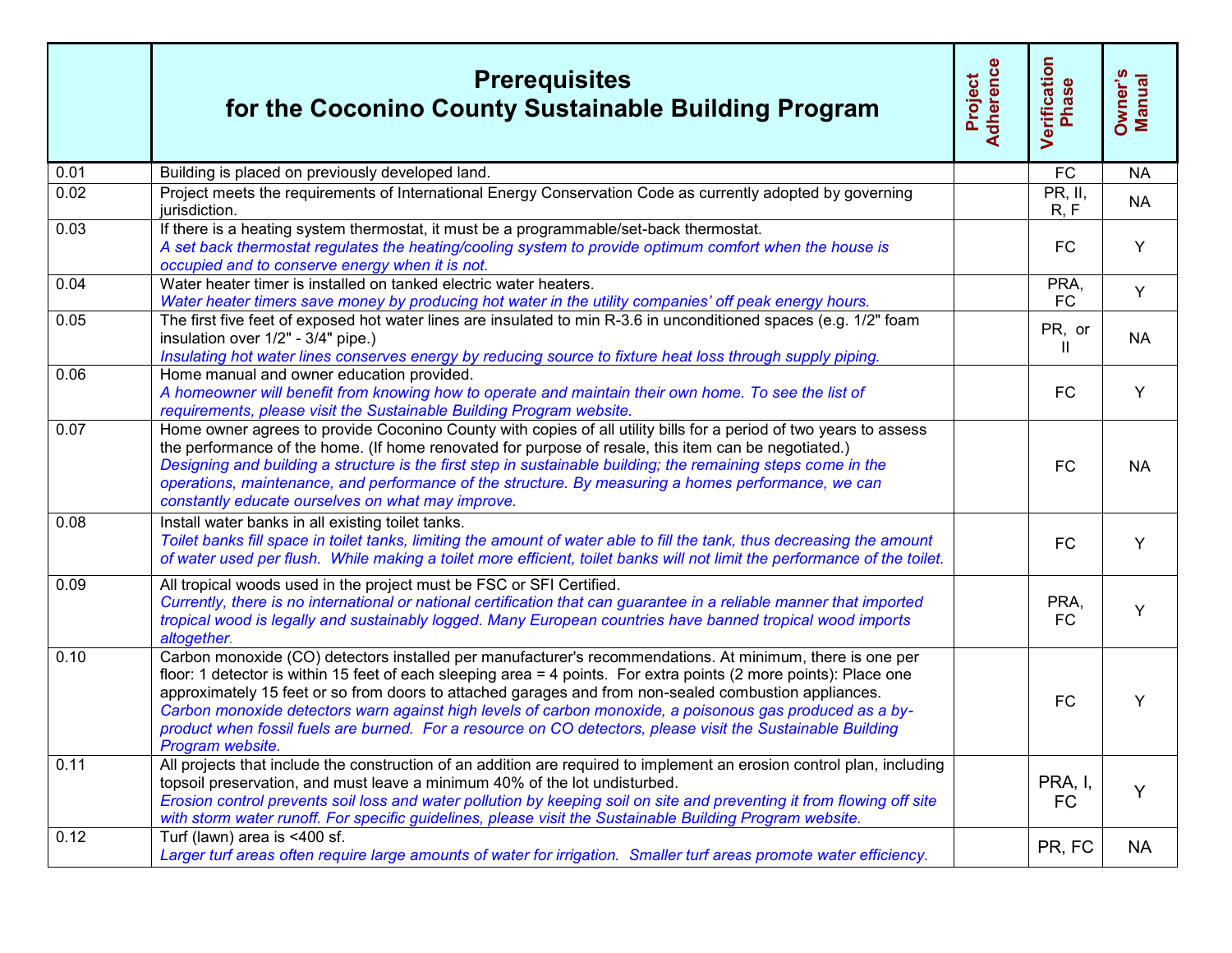|      | <b>Prerequisites</b><br>for the Coconino County Sustainable Building Program                                                                                                                                                                                                                                                                                                                                                                                                                                                                                                           | Adherence<br>Project | Verification<br>Phase  | Owner's<br>Manual |
|------|----------------------------------------------------------------------------------------------------------------------------------------------------------------------------------------------------------------------------------------------------------------------------------------------------------------------------------------------------------------------------------------------------------------------------------------------------------------------------------------------------------------------------------------------------------------------------------------|----------------------|------------------------|-------------------|
| 0.01 | Building is placed on previously developed land.                                                                                                                                                                                                                                                                                                                                                                                                                                                                                                                                       |                      | <b>FC</b>              | <b>NA</b>         |
| 0.02 | Project meets the requirements of International Energy Conservation Code as currently adopted by governing<br>jurisdiction.                                                                                                                                                                                                                                                                                                                                                                                                                                                            |                      | PR, II,<br>R, F        | <b>NA</b>         |
| 0.03 | If there is a heating system thermostat, it must be a programmable/set-back thermostat.<br>A set back thermostat regulates the heating/cooling system to provide optimum comfort when the house is<br>occupied and to conserve energy when it is not.                                                                                                                                                                                                                                                                                                                                  |                      | <b>FC</b>              | Y                 |
| 0.04 | Water heater timer is installed on tanked electric water heaters.<br>Water heater timers save money by producing hot water in the utility companies' off peak energy hours.                                                                                                                                                                                                                                                                                                                                                                                                            |                      | PRA,<br>FC             | Y                 |
| 0.05 | The first five feet of exposed hot water lines are insulated to min R-3.6 in unconditioned spaces (e.g. 1/2" foam<br>insulation over 1/2" - 3/4" pipe.)<br>Insulating hot water lines conserves energy by reducing source to fixture heat loss through supply piping.                                                                                                                                                                                                                                                                                                                  |                      | PR, or<br>$\mathbf{I}$ | <b>NA</b>         |
| 0.06 | Home manual and owner education provided.<br>A homeowner will benefit from knowing how to operate and maintain their own home. To see the list of<br>requirements, please visit the Sustainable Building Program website.                                                                                                                                                                                                                                                                                                                                                              |                      | FC                     | Y                 |
| 0.07 | Home owner agrees to provide Coconino County with copies of all utility bills for a period of two years to assess<br>the performance of the home. (If home renovated for purpose of resale, this item can be negotiated.)<br>Designing and building a structure is the first step in sustainable building; the remaining steps come in the<br>operations, maintenance, and performance of the structure. By measuring a homes performance, we can<br>constantly educate ourselves on what may improve.                                                                                 |                      | FC                     | <b>NA</b>         |
| 0.08 | Install water banks in all existing toilet tanks.<br>Toilet banks fill space in toilet tanks, limiting the amount of water able to fill the tank, thus decreasing the amount<br>of water used per flush. While making a toilet more efficient, toilet banks will not limit the performance of the toilet.                                                                                                                                                                                                                                                                              |                      | FC                     | Y                 |
| 0.09 | All tropical woods used in the project must be FSC or SFI Certified.<br>Currently, there is no international or national certification that can guarantee in a reliable manner that imported<br>tropical wood is legally and sustainably logged. Many European countries have banned tropical wood imports<br>altogether.                                                                                                                                                                                                                                                              |                      | PRA,<br><b>FC</b>      | Y                 |
| 0.10 | Carbon monoxide (CO) detectors installed per manufacturer's recommendations. At minimum, there is one per<br>floor: 1 detector is within 15 feet of each sleeping area = 4 points. For extra points (2 more points): Place one<br>approximately 15 feet or so from doors to attached garages and from non-sealed combustion appliances.<br>Carbon monoxide detectors warn against high levels of carbon monoxide, a poisonous gas produced as a by-<br>product when fossil fuels are burned. For a resource on CO detectors, please visit the Sustainable Building<br>Program website. |                      | <b>FC</b>              | Y                 |
| 0.11 | All projects that include the construction of an addition are required to implement an erosion control plan, including<br>topsoil preservation, and must leave a minimum 40% of the lot undisturbed.<br>Erosion control prevents soil loss and water pollution by keeping soil on site and preventing it from flowing off site<br>with storm water runoff. For specific guidelines, please visit the Sustainable Building Program website.                                                                                                                                             |                      | PRA, I,<br><b>FC</b>   | Y                 |
| 0.12 | Turf (lawn) area is <400 sf.<br>Larger turf areas often require large amounts of water for irrigation. Smaller turf areas promote water efficiency.                                                                                                                                                                                                                                                                                                                                                                                                                                    |                      | PR, FC                 | <b>NA</b>         |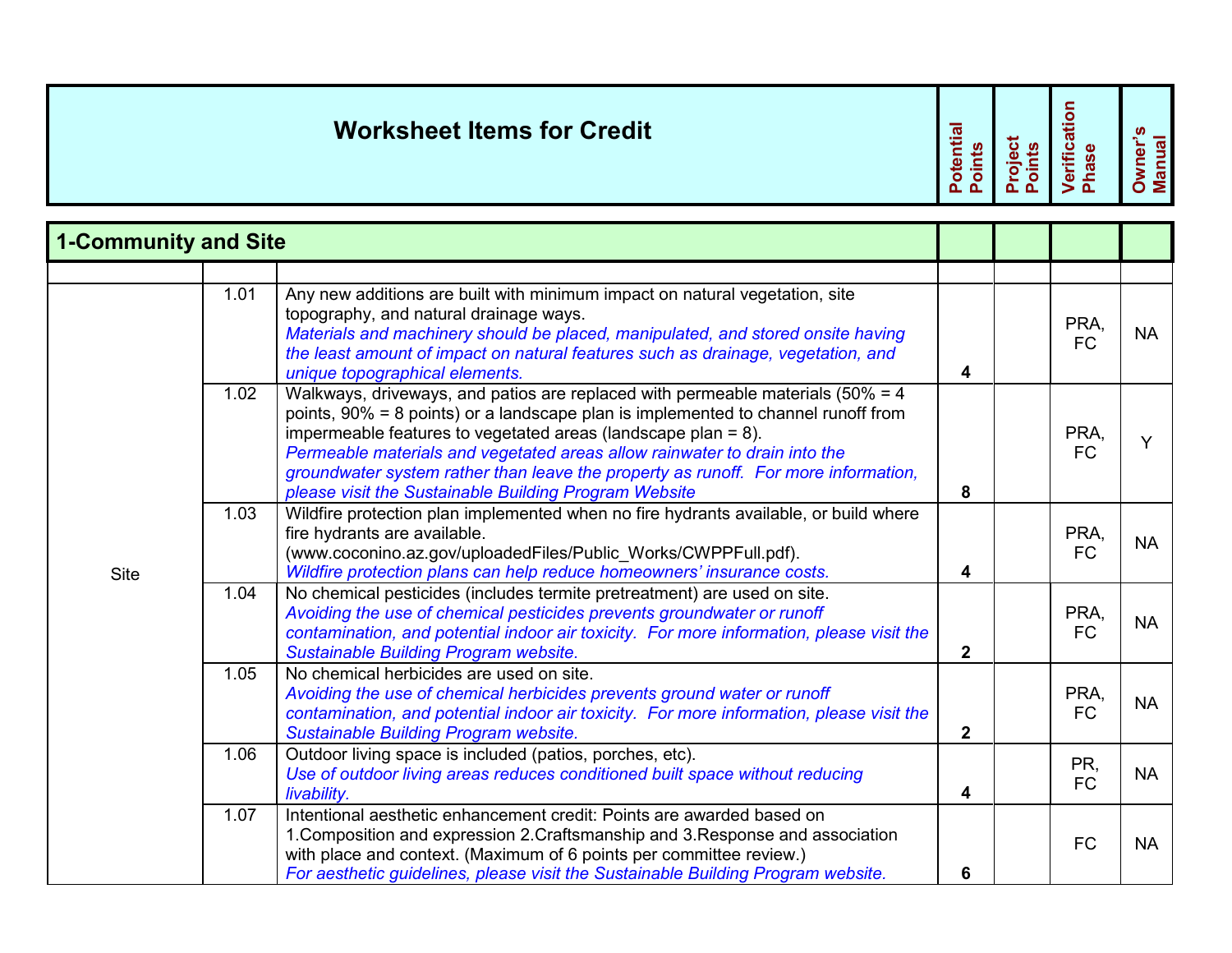|                             | <b>Worksheet Items for Credit</b> |                                                                                                                                                                                                                                                                                                                                                                                                                                                                        |                         |  | Verification<br>Phase | Owner's<br>Manual |
|-----------------------------|-----------------------------------|------------------------------------------------------------------------------------------------------------------------------------------------------------------------------------------------------------------------------------------------------------------------------------------------------------------------------------------------------------------------------------------------------------------------------------------------------------------------|-------------------------|--|-----------------------|-------------------|
| <b>1-Community and Site</b> |                                   |                                                                                                                                                                                                                                                                                                                                                                                                                                                                        |                         |  |                       |                   |
|                             | 1.01                              | Any new additions are built with minimum impact on natural vegetation, site<br>topography, and natural drainage ways.<br>Materials and machinery should be placed, manipulated, and stored onsite having<br>the least amount of impact on natural features such as drainage, vegetation, and<br>unique topographical elements.                                                                                                                                         | $\overline{\mathbf{4}}$ |  | PRA,<br><b>FC</b>     | <b>NA</b>         |
|                             | 1.02                              | Walkways, driveways, and patios are replaced with permeable materials ( $50\% = 4$ )<br>points, 90% = 8 points) or a landscape plan is implemented to channel runoff from<br>impermeable features to vegetated areas (landscape plan = 8).<br>Permeable materials and vegetated areas allow rainwater to drain into the<br>groundwater system rather than leave the property as runoff. For more information,<br>please visit the Sustainable Building Program Website | 8                       |  | PRA,<br><b>FC</b>     | Y                 |
| <b>Site</b>                 | 1.03                              | Wildfire protection plan implemented when no fire hydrants available, or build where<br>fire hydrants are available.<br>(www.coconino.az.gov/uploadedFiles/Public_Works/CWPPFull.pdf).<br>Wildfire protection plans can help reduce homeowners' insurance costs.                                                                                                                                                                                                       | 4                       |  | PRA,<br><b>FC</b>     | <b>NA</b>         |
|                             | 1.04                              | No chemical pesticides (includes termite pretreatment) are used on site.<br>Avoiding the use of chemical pesticides prevents groundwater or runoff<br>contamination, and potential indoor air toxicity. For more information, please visit the<br><b>Sustainable Building Program website.</b>                                                                                                                                                                         | $\mathbf{2}$            |  | PRA,<br><b>FC</b>     | <b>NA</b>         |
|                             | 1.05                              | No chemical herbicides are used on site.<br>Avoiding the use of chemical herbicides prevents ground water or runoff<br>contamination, and potential indoor air toxicity. For more information, please visit the<br>Sustainable Building Program website.                                                                                                                                                                                                               | $\mathbf{2}$            |  | PRA,<br><b>FC</b>     | <b>NA</b>         |
|                             | 1.06                              | Outdoor living space is included (patios, porches, etc).<br>Use of outdoor living areas reduces conditioned built space without reducing<br>livability.                                                                                                                                                                                                                                                                                                                | $\overline{\mathbf{4}}$ |  | PR,<br><b>FC</b>      | <b>NA</b>         |
|                             | 1.07                              | Intentional aesthetic enhancement credit: Points are awarded based on<br>1. Composition and expression 2. Craftsmanship and 3. Response and association<br>with place and context. (Maximum of 6 points per committee review.)<br>For aesthetic guidelines, please visit the Sustainable Building Program website.                                                                                                                                                     | 6                       |  | <b>FC</b>             | <b>NA</b>         |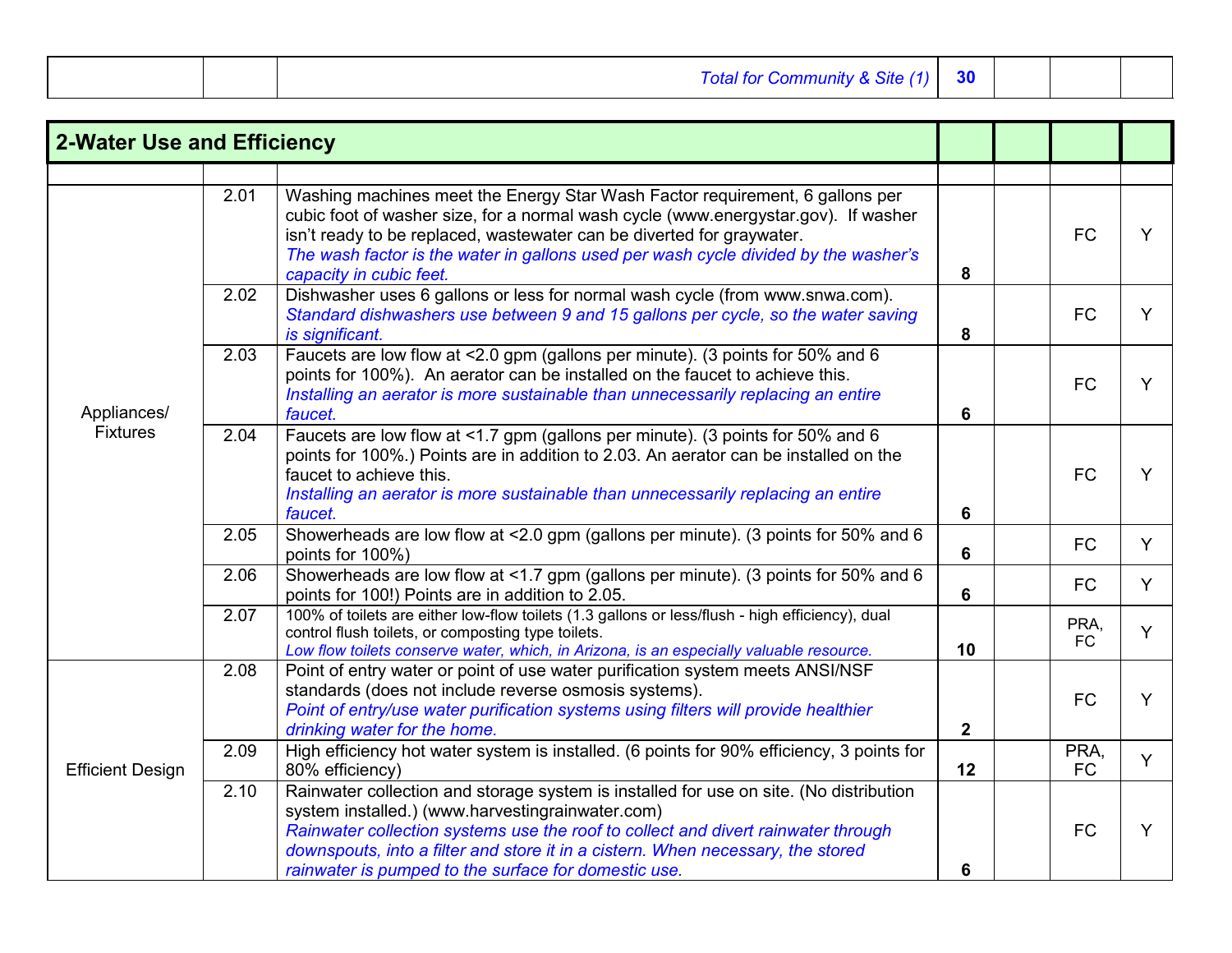| Total for Community & Site (1) | 30 |  |  |  |
|--------------------------------|----|--|--|--|
|--------------------------------|----|--|--|--|

| <b>2-Water Use and Efficiency</b> |      |                                                                                                                                                                                                                                                                                                                                                                            |              |                   |   |
|-----------------------------------|------|----------------------------------------------------------------------------------------------------------------------------------------------------------------------------------------------------------------------------------------------------------------------------------------------------------------------------------------------------------------------------|--------------|-------------------|---|
|                                   |      |                                                                                                                                                                                                                                                                                                                                                                            |              |                   |   |
| Appliances/<br><b>Fixtures</b>    | 2.01 | Washing machines meet the Energy Star Wash Factor requirement, 6 gallons per<br>cubic foot of washer size, for a normal wash cycle (www.energystar.gov). If washer<br>isn't ready to be replaced, wastewater can be diverted for graywater.<br>The wash factor is the water in gallons used per wash cycle divided by the washer's<br>capacity in cubic feet.              | 8            | <b>FC</b>         | Y |
|                                   | 2.02 | Dishwasher uses 6 gallons or less for normal wash cycle (from www.snwa.com).<br>Standard dishwashers use between 9 and 15 gallons per cycle, so the water saving<br>is significant.                                                                                                                                                                                        | 8            | <b>FC</b>         | Y |
|                                   | 2.03 | Faucets are low flow at <2.0 gpm (gallons per minute). (3 points for 50% and 6<br>points for 100%). An aerator can be installed on the faucet to achieve this.<br>Installing an aerator is more sustainable than unnecessarily replacing an entire<br>faucet.                                                                                                              | 6            | <b>FC</b>         | Y |
|                                   | 2.04 | Faucets are low flow at <1.7 gpm (gallons per minute). (3 points for 50% and 6<br>points for 100%.) Points are in addition to 2.03. An aerator can be installed on the<br>faucet to achieve this.<br>Installing an aerator is more sustainable than unnecessarily replacing an entire<br>faucet.                                                                           | 6            | <b>FC</b>         | Y |
|                                   | 2.05 | Showerheads are low flow at <2.0 gpm (gallons per minute). (3 points for 50% and 6<br>points for 100%)                                                                                                                                                                                                                                                                     | 6            | <b>FC</b>         | Y |
|                                   | 2.06 | Showerheads are low flow at <1.7 gpm (gallons per minute). (3 points for 50% and 6<br>points for 100!) Points are in addition to 2.05.                                                                                                                                                                                                                                     | 6            | <b>FC</b>         | Y |
|                                   | 2.07 | 100% of toilets are either low-flow toilets (1.3 gallons or less/flush - high efficiency), dual<br>control flush toilets, or composting type toilets.<br>Low flow toilets conserve water, which, in Arizona, is an especially valuable resource.                                                                                                                           | 10           | PRA,<br><b>FC</b> | Y |
|                                   | 2.08 | Point of entry water or point of use water purification system meets ANSI/NSF<br>standards (does not include reverse osmosis systems).<br>Point of entry/use water purification systems using filters will provide healthier<br>drinking water for the home.                                                                                                               | $\mathbf{2}$ | <b>FC</b>         | Y |
| <b>Efficient Design</b>           | 2.09 | High efficiency hot water system is installed. (6 points for 90% efficiency, 3 points for<br>80% efficiency)                                                                                                                                                                                                                                                               | 12           | PRA,<br><b>FC</b> | Y |
|                                   | 2.10 | Rainwater collection and storage system is installed for use on site. (No distribution<br>system installed.) (www.harvestingrainwater.com)<br>Rainwater collection systems use the roof to collect and divert rainwater through<br>downspouts, into a filter and store it in a cistern. When necessary, the stored<br>rainwater is pumped to the surface for domestic use. | 6            | <b>FC</b>         | Y |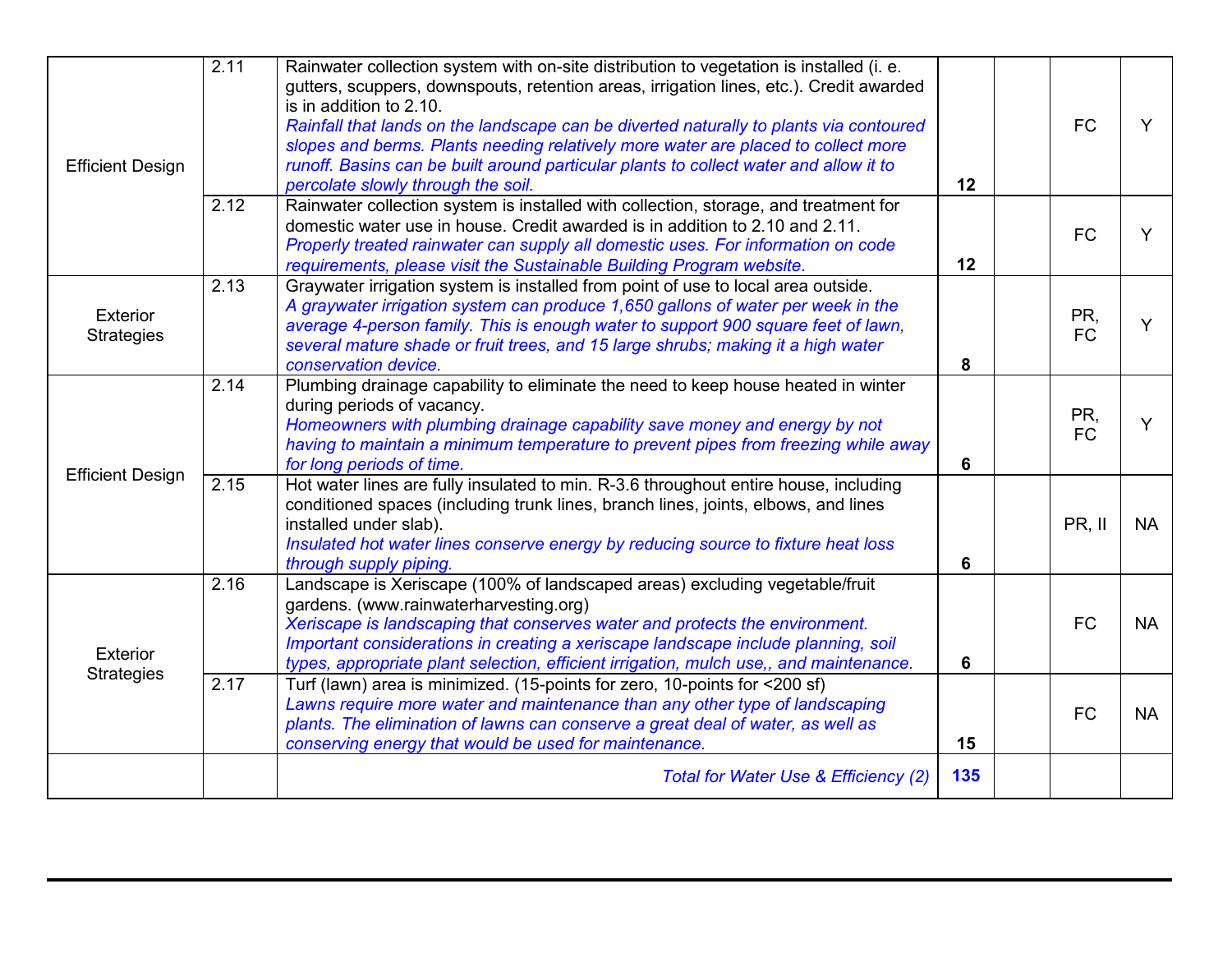| <b>Efficient Design</b>       | $\overline{2.11}$ | Rainwater collection system with on-site distribution to vegetation is installed (i. e.<br>gutters, scuppers, downspouts, retention areas, irrigation lines, etc.). Credit awarded<br>is in addition to 2.10.<br>Rainfall that lands on the landscape can be diverted naturally to plants via contoured<br>slopes and berms. Plants needing relatively more water are placed to collect more<br>runoff. Basins can be built around particular plants to collect water and allow it to<br>percolate slowly through the soil. | 12  | <b>FC</b>        |           |
|-------------------------------|-------------------|-----------------------------------------------------------------------------------------------------------------------------------------------------------------------------------------------------------------------------------------------------------------------------------------------------------------------------------------------------------------------------------------------------------------------------------------------------------------------------------------------------------------------------|-----|------------------|-----------|
|                               | 2.12              | Rainwater collection system is installed with collection, storage, and treatment for<br>domestic water use in house. Credit awarded is in addition to 2.10 and 2.11.<br>Properly treated rainwater can supply all domestic uses. For information on code<br>requirements, please visit the Sustainable Building Program website.                                                                                                                                                                                            | 12  | <b>FC</b>        |           |
| Exterior<br><b>Strategies</b> | 2.13              | Graywater irrigation system is installed from point of use to local area outside.<br>A graywater irrigation system can produce 1,650 gallons of water per week in the<br>average 4-person family. This is enough water to support 900 square feet of lawn,<br>several mature shade or fruit trees, and 15 large shrubs; making it a high water<br>conservation device.                                                                                                                                                      | 8   | PR,<br><b>FC</b> |           |
| <b>Efficient Design</b>       | 2.14              | Plumbing drainage capability to eliminate the need to keep house heated in winter<br>during periods of vacancy.<br>Homeowners with plumbing drainage capability save money and energy by not<br>having to maintain a minimum temperature to prevent pipes from freezing while away<br>for long periods of time.                                                                                                                                                                                                             | 6   | PR,<br><b>FC</b> |           |
|                               | 2.15              | Hot water lines are fully insulated to min. R-3.6 throughout entire house, including<br>conditioned spaces (including trunk lines, branch lines, joints, elbows, and lines<br>installed under slab).<br>Insulated hot water lines conserve energy by reducing source to fixture heat loss<br>through supply piping.                                                                                                                                                                                                         | 6   | PR, II           | <b>NA</b> |
| Exterior<br><b>Strategies</b> | 2.16              | Landscape is Xeriscape (100% of landscaped areas) excluding vegetable/fruit<br>gardens. (www.rainwaterharvesting.org)<br>Xeriscape is landscaping that conserves water and protects the environment.<br>Important considerations in creating a xeriscape landscape include planning, soil<br>types, appropriate plant selection, efficient irrigation, mulch use,, and maintenance.                                                                                                                                         | 6   | <b>FC</b>        | <b>NA</b> |
|                               | 2.17              | Turf (lawn) area is minimized. (15-points for zero, 10-points for <200 sf)<br>Lawns require more water and maintenance than any other type of landscaping<br>plants. The elimination of lawns can conserve a great deal of water, as well as<br>conserving energy that would be used for maintenance.                                                                                                                                                                                                                       | 15  | <b>FC</b>        | <b>NA</b> |
|                               |                   | Total for Water Use & Efficiency (2)                                                                                                                                                                                                                                                                                                                                                                                                                                                                                        | 135 |                  |           |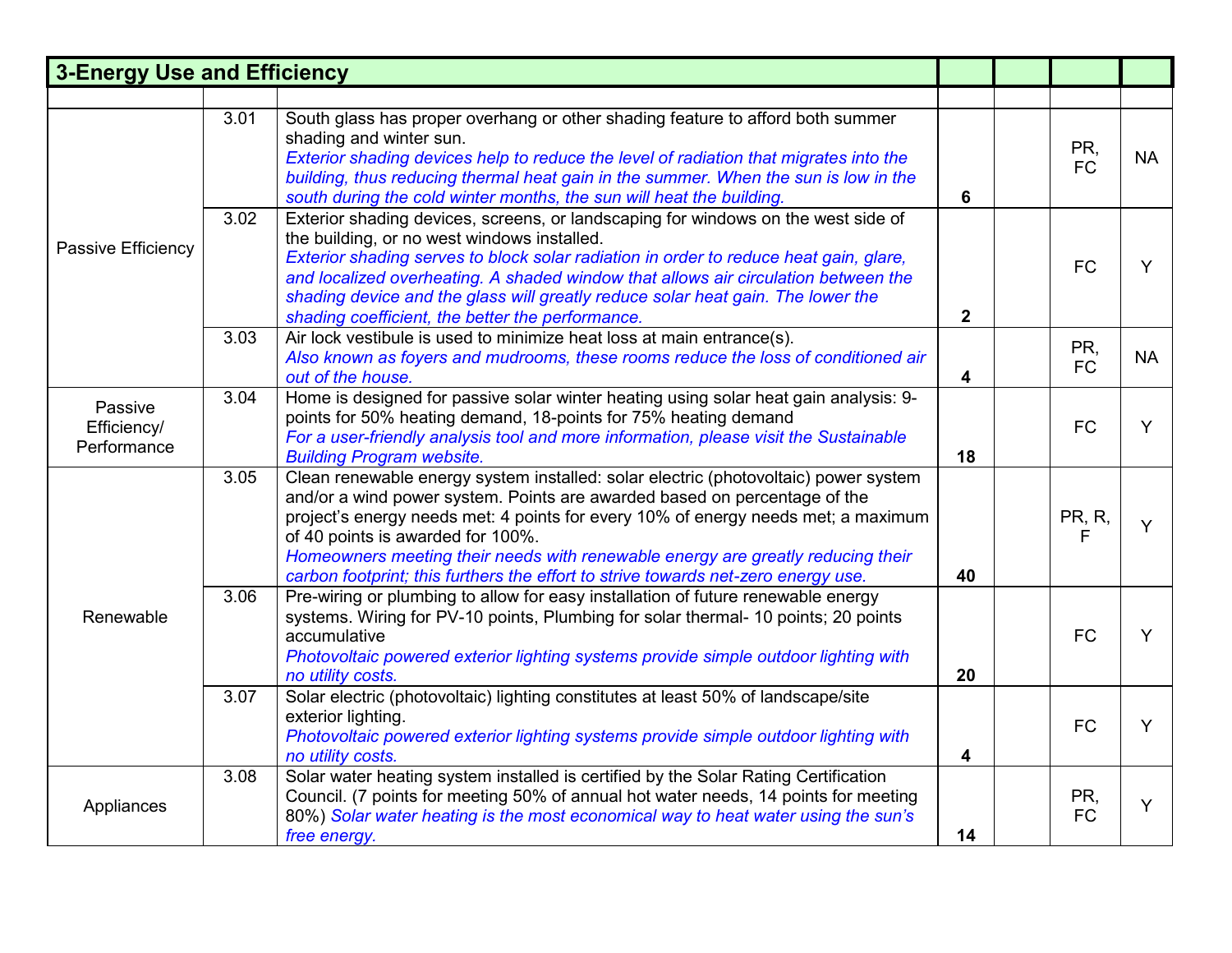| <b>3-Energy Use and Efficiency</b>    |                                                                                                             |                                                                                                                                                                                                                                                                                                                                                                                                                               |              |                    |           |
|---------------------------------------|-------------------------------------------------------------------------------------------------------------|-------------------------------------------------------------------------------------------------------------------------------------------------------------------------------------------------------------------------------------------------------------------------------------------------------------------------------------------------------------------------------------------------------------------------------|--------------|--------------------|-----------|
|                                       |                                                                                                             |                                                                                                                                                                                                                                                                                                                                                                                                                               |              |                    |           |
| Passive Efficiency                    | 3.01<br>shading and winter sun.<br>south during the cold winter months, the sun will heat the building.     | South glass has proper overhang or other shading feature to afford both summer<br>Exterior shading devices help to reduce the level of radiation that migrates into the<br>building, thus reducing thermal heat gain in the summer. When the sun is low in the                                                                                                                                                                | 6            | PR,<br><b>FC</b>   | <b>NA</b> |
|                                       | 3.02<br>the building, or no west windows installed.<br>shading coefficient, the better the performance.     | Exterior shading devices, screens, or landscaping for windows on the west side of<br>Exterior shading serves to block solar radiation in order to reduce heat gain, glare,<br>and localized overheating. A shaded window that allows air circulation between the<br>shading device and the glass will greatly reduce solar heat gain. The lower the                                                                           | $\mathbf{2}$ | <b>FC</b>          | Y         |
|                                       | Air lock vestibule is used to minimize heat loss at main entrance(s).<br>3.03<br>out of the house.          | Also known as foyers and mudrooms, these rooms reduce the loss of conditioned air                                                                                                                                                                                                                                                                                                                                             | 4            | PR,<br><b>FC</b>   | <b>NA</b> |
| Passive<br>Efficiency/<br>Performance | 3.04<br>points for 50% heating demand, 18-points for 75% heating demand<br><b>Building Program website.</b> | Home is designed for passive solar winter heating using solar heat gain analysis: 9-<br>For a user-friendly analysis tool and more information, please visit the Sustainable                                                                                                                                                                                                                                                  | 18           | <b>FC</b>          | Y         |
|                                       | 3.05<br>of 40 points is awarded for 100%.                                                                   | Clean renewable energy system installed: solar electric (photovoltaic) power system<br>and/or a wind power system. Points are awarded based on percentage of the<br>project's energy needs met: 4 points for every 10% of energy needs met; a maximum<br>Homeowners meeting their needs with renewable energy are greatly reducing their<br>carbon footprint; this furthers the effort to strive towards net-zero energy use. | 40           | <b>PR, R,</b><br>F | Y         |
| Renewable                             | 3.06<br>accumulative<br>no utility costs.                                                                   | Pre-wiring or plumbing to allow for easy installation of future renewable energy<br>systems. Wiring for PV-10 points, Plumbing for solar thermal- 10 points; 20 points<br>Photovoltaic powered exterior lighting systems provide simple outdoor lighting with                                                                                                                                                                 | 20           | <b>FC</b>          | Y         |
|                                       | 3.07<br>exterior lighting.<br>no utility costs.                                                             | Solar electric (photovoltaic) lighting constitutes at least 50% of landscape/site<br>Photovoltaic powered exterior lighting systems provide simple outdoor lighting with                                                                                                                                                                                                                                                      | 4            | <b>FC</b>          | Y         |
| Appliances                            | 3.08<br>free energy.                                                                                        | Solar water heating system installed is certified by the Solar Rating Certification<br>Council. (7 points for meeting 50% of annual hot water needs, 14 points for meeting<br>80%) Solar water heating is the most economical way to heat water using the sun's                                                                                                                                                               | 14           | PR,<br><b>FC</b>   | Y         |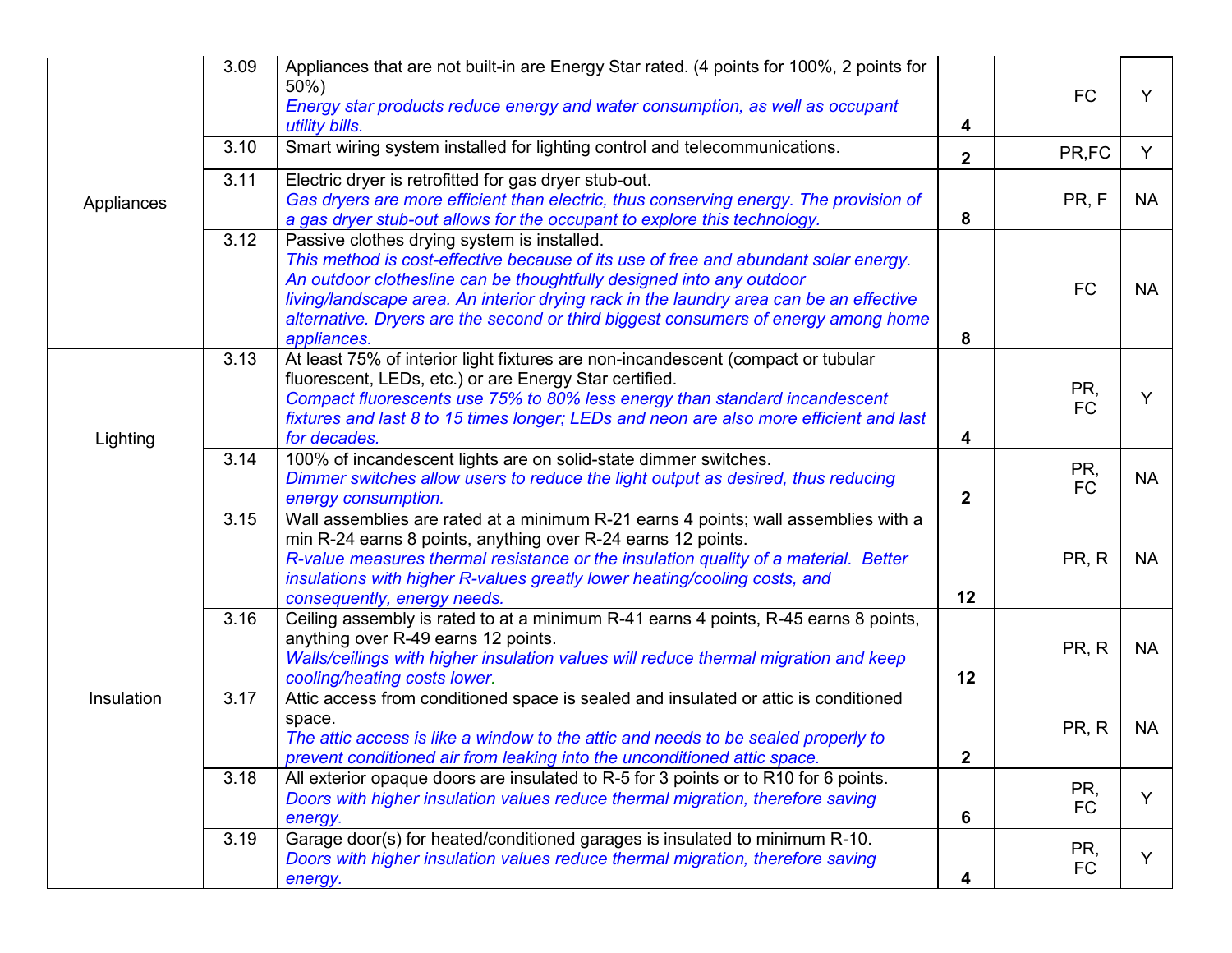| Appliances | 3.09 | Appliances that are not built-in are Energy Star rated. (4 points for 100%, 2 points for<br>$50%$ )<br>Energy star products reduce energy and water consumption, as well as occupant<br>utility bills.                                                                                                                                                                                                    | 4              | <b>FC</b>        | Y         |
|------------|------|-----------------------------------------------------------------------------------------------------------------------------------------------------------------------------------------------------------------------------------------------------------------------------------------------------------------------------------------------------------------------------------------------------------|----------------|------------------|-----------|
|            | 3.10 | Smart wiring system installed for lighting control and telecommunications.                                                                                                                                                                                                                                                                                                                                | $\overline{2}$ | PR,FC            | Y         |
|            | 3.11 | Electric dryer is retrofitted for gas dryer stub-out.<br>Gas dryers are more efficient than electric, thus conserving energy. The provision of<br>a gas dryer stub-out allows for the occupant to explore this technology.                                                                                                                                                                                | 8              | PR, F            | <b>NA</b> |
|            | 3.12 | Passive clothes drying system is installed.<br>This method is cost-effective because of its use of free and abundant solar energy.<br>An outdoor clothesline can be thoughtfully designed into any outdoor<br>living/landscape area. An interior drying rack in the laundry area can be an effective<br>alternative. Dryers are the second or third biggest consumers of energy among home<br>appliances. | 8              | <b>FC</b>        | <b>NA</b> |
| Lighting   | 3.13 | At least 75% of interior light fixtures are non-incandescent (compact or tubular<br>fluorescent, LEDs, etc.) or are Energy Star certified.<br>Compact fluorescents use 75% to 80% less energy than standard incandescent<br>fixtures and last 8 to 15 times longer; LEDs and neon are also more efficient and last<br>for decades.                                                                        | 4              | PR,<br><b>FC</b> | Y         |
|            | 3.14 | 100% of incandescent lights are on solid-state dimmer switches.<br>Dimmer switches allow users to reduce the light output as desired, thus reducing<br>energy consumption.                                                                                                                                                                                                                                | $\mathbf{2}$   | PR,<br><b>FC</b> | <b>NA</b> |
| Insulation | 3.15 | Wall assemblies are rated at a minimum R-21 earns 4 points; wall assemblies with a<br>min R-24 earns 8 points, anything over R-24 earns 12 points.<br>R-value measures thermal resistance or the insulation quality of a material. Better<br>insulations with higher R-values greatly lower heating/cooling costs, and<br>consequently, energy needs.                                                     | 12             | PR, R            | <b>NA</b> |
|            | 3.16 | Ceiling assembly is rated to at a minimum R-41 earns 4 points, R-45 earns 8 points,<br>anything over R-49 earns 12 points.<br>Walls/ceilings with higher insulation values will reduce thermal migration and keep<br>cooling/heating costs lower.                                                                                                                                                         | 12             | PR, R            | <b>NA</b> |
|            | 3.17 | Attic access from conditioned space is sealed and insulated or attic is conditioned<br>space.<br>The attic access is like a window to the attic and needs to be sealed properly to<br>prevent conditioned air from leaking into the unconditioned attic space.                                                                                                                                            | 2              | PR, R            | <b>NA</b> |
|            | 3.18 | All exterior opaque doors are insulated to R-5 for 3 points or to R10 for 6 points.<br>Doors with higher insulation values reduce thermal migration, therefore saving<br>energy.                                                                                                                                                                                                                          | 6              | PR,<br><b>FC</b> | Y         |
|            | 3.19 | Garage door(s) for heated/conditioned garages is insulated to minimum R-10.<br>Doors with higher insulation values reduce thermal migration, therefore saving<br>energy.                                                                                                                                                                                                                                  | 4              | PR,<br><b>FC</b> |           |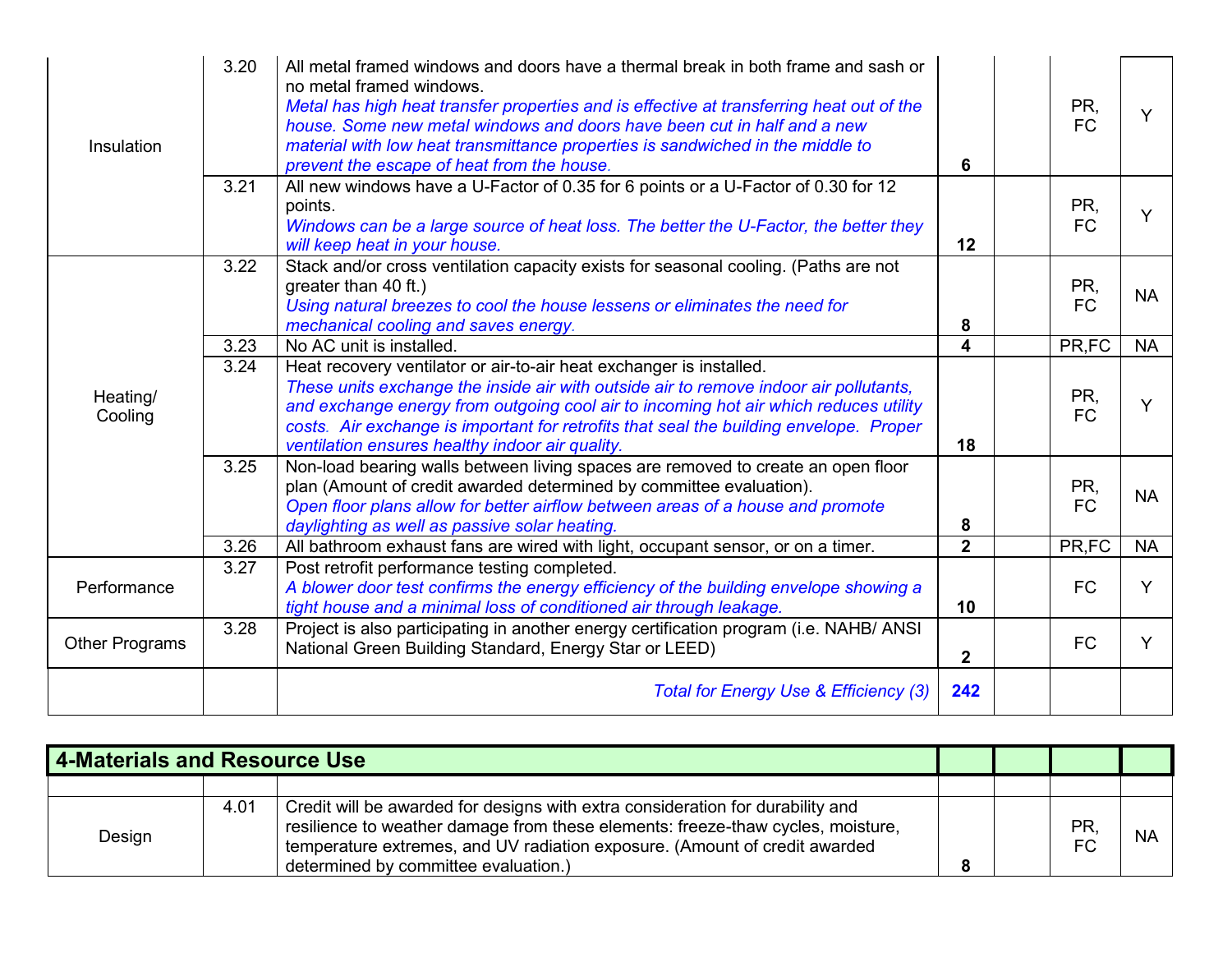| Insulation          | 3.20 | All metal framed windows and doors have a thermal break in both frame and sash or<br>no metal framed windows.<br>Metal has high heat transfer properties and is effective at transferring heat out of the<br>house. Some new metal windows and doors have been cut in half and a new<br>material with low heat transmittance properties is sandwiched in the middle to<br>prevent the escape of heat from the house. | 6              | PR,<br><b>FC</b> | Y         |
|---------------------|------|----------------------------------------------------------------------------------------------------------------------------------------------------------------------------------------------------------------------------------------------------------------------------------------------------------------------------------------------------------------------------------------------------------------------|----------------|------------------|-----------|
|                     | 3.21 | All new windows have a U-Factor of 0.35 for 6 points or a U-Factor of 0.30 for 12<br>points.<br>Windows can be a large source of heat loss. The better the U-Factor, the better they<br>will keep heat in your house.                                                                                                                                                                                                | 12             | PR,<br><b>FC</b> |           |
|                     | 3.22 | Stack and/or cross ventilation capacity exists for seasonal cooling. (Paths are not<br>greater than 40 ft.)<br>Using natural breezes to cool the house lessens or eliminates the need for<br>mechanical cooling and saves energy.                                                                                                                                                                                    | 8              | PR,<br><b>FC</b> | <b>NA</b> |
|                     | 3.23 | No AC unit is installed.                                                                                                                                                                                                                                                                                                                                                                                             | 4              | PR,FC            | <b>NA</b> |
| Heating/<br>Cooling | 3.24 | Heat recovery ventilator or air-to-air heat exchanger is installed.<br>These units exchange the inside air with outside air to remove indoor air pollutants,<br>and exchange energy from outgoing cool air to incoming hot air which reduces utility<br>costs. Air exchange is important for retrofits that seal the building envelope. Proper<br>ventilation ensures healthy indoor air quality.                    | 18             | PR,<br><b>FC</b> | Y         |
|                     | 3.25 | Non-load bearing walls between living spaces are removed to create an open floor<br>plan (Amount of credit awarded determined by committee evaluation).<br>Open floor plans allow for better airflow between areas of a house and promote<br>daylighting as well as passive solar heating.                                                                                                                           | 8              | PR,<br><b>FC</b> | <b>NA</b> |
|                     | 3.26 | All bathroom exhaust fans are wired with light, occupant sensor, or on a timer.                                                                                                                                                                                                                                                                                                                                      | $\overline{2}$ | PR,FC            | <b>NA</b> |
| Performance         | 3.27 | Post retrofit performance testing completed.<br>A blower door test confirms the energy efficiency of the building envelope showing a<br>tight house and a minimal loss of conditioned air through leakage.                                                                                                                                                                                                           | 10             | <b>FC</b>        | Y         |
| Other Programs      | 3.28 | Project is also participating in another energy certification program (i.e. NAHB/ ANSI<br>National Green Building Standard, Energy Star or LEED)                                                                                                                                                                                                                                                                     | 2 <sup>1</sup> | <b>FC</b>        | Y         |
|                     |      | Total for Energy Use & Efficiency (3)                                                                                                                                                                                                                                                                                                                                                                                | 242            |                  |           |

| 4-Materials and Resource Use |      |                                                                                                                                                                                                                                                                                         |  |                        |           |
|------------------------------|------|-----------------------------------------------------------------------------------------------------------------------------------------------------------------------------------------------------------------------------------------------------------------------------------------|--|------------------------|-----------|
|                              |      |                                                                                                                                                                                                                                                                                         |  |                        |           |
| Design                       | 4.01 | Credit will be awarded for designs with extra consideration for durability and<br>resilience to weather damage from these elements: freeze-thaw cycles, moisture,<br>temperature extremes, and UV radiation exposure. (Amount of credit awarded<br>determined by committee evaluation.) |  | <b>PR</b><br><b>FC</b> | <b>NA</b> |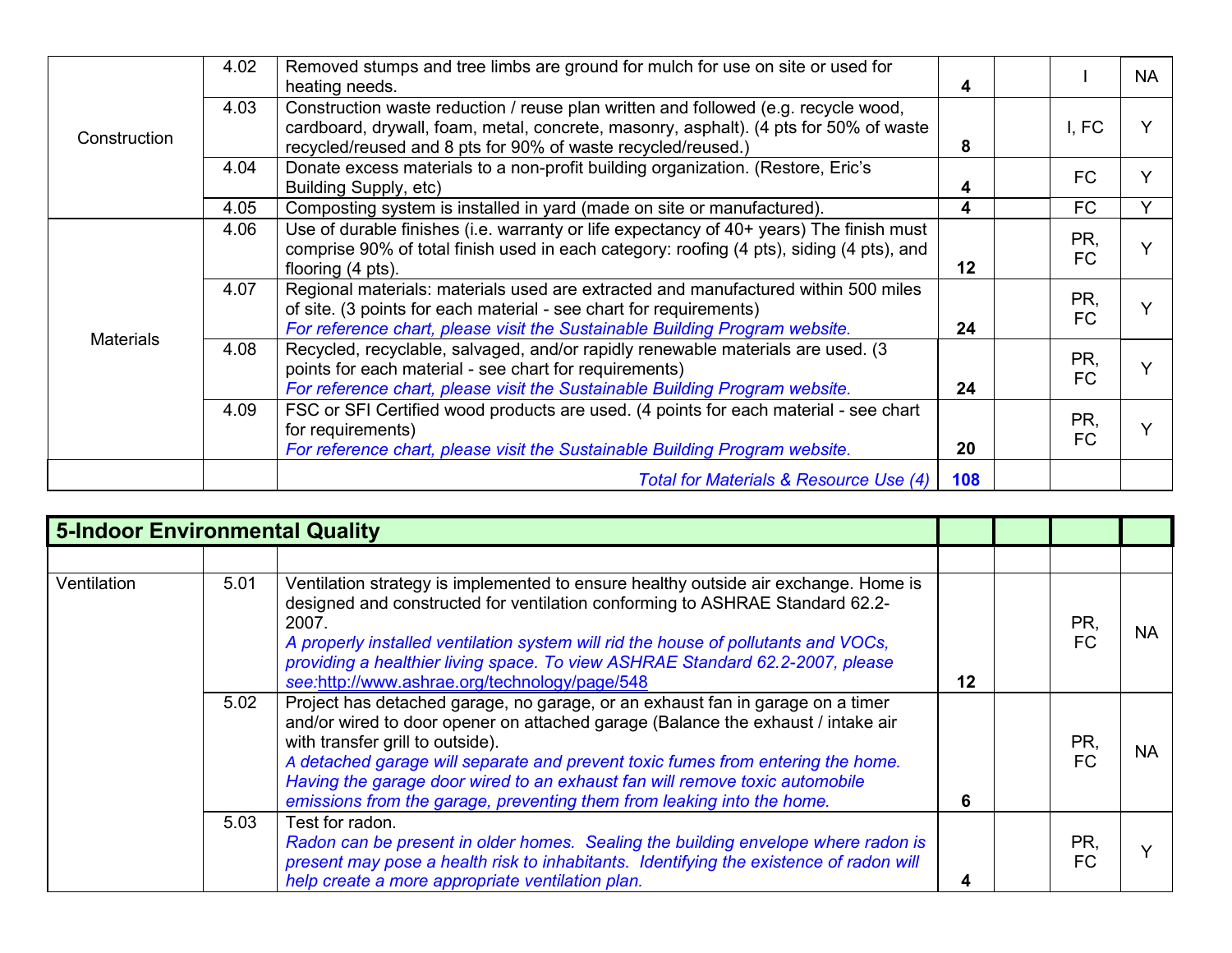|                  | 4.02                                                                                                                                                                                                                                            | Removed stumps and tree limbs are ground for mulch for use on site or used for<br>heating needs.                                                                                                                                            | 4         |                  | <b>NA</b> |
|------------------|-------------------------------------------------------------------------------------------------------------------------------------------------------------------------------------------------------------------------------------------------|---------------------------------------------------------------------------------------------------------------------------------------------------------------------------------------------------------------------------------------------|-----------|------------------|-----------|
| Construction     | 4.03                                                                                                                                                                                                                                            | Construction waste reduction / reuse plan written and followed (e.g. recycle wood,<br>cardboard, drywall, foam, metal, concrete, masonry, asphalt). (4 pts for 50% of waste<br>recycled/reused and 8 pts for 90% of waste recycled/reused.) | 8         | I, FC            |           |
|                  | 4.04                                                                                                                                                                                                                                            | Donate excess materials to a non-profit building organization. (Restore, Eric's<br>Building Supply, etc)                                                                                                                                    | 4         | <b>FC</b>        |           |
|                  | 4.05                                                                                                                                                                                                                                            | Composting system is installed in yard (made on site or manufactured).                                                                                                                                                                      | 4         | FC               |           |
|                  | 4.06                                                                                                                                                                                                                                            | Use of durable finishes (i.e. warranty or life expectancy of 40+ years) The finish must<br>comprise 90% of total finish used in each category: roofing (4 pts), siding (4 pts), and<br>flooring (4 pts).                                    | $12 \,$   | PR.<br><b>FC</b> |           |
| <b>Materials</b> | Regional materials: materials used are extracted and manufactured within 500 miles<br>4.07<br>of site. (3 points for each material - see chart for requirements)<br>For reference chart, please visit the Sustainable Building Program website. | 24                                                                                                                                                                                                                                          | PR,<br>FC |                  |           |
|                  | 4.08                                                                                                                                                                                                                                            | Recycled, recyclable, salvaged, and/or rapidly renewable materials are used. (3<br>points for each material - see chart for requirements)<br>For reference chart, please visit the Sustainable Building Program website.                    | 24        | PR,<br>FC        |           |
|                  | 4.09                                                                                                                                                                                                                                            | FSC or SFI Certified wood products are used. (4 points for each material - see chart<br>for requirements)<br>For reference chart, please visit the Sustainable Building Program website.                                                    | 20        | PR.<br><b>FC</b> |           |
|                  |                                                                                                                                                                                                                                                 | Total for Materials & Resource Use (4)                                                                                                                                                                                                      | 108       |                  |           |

| <b>5-Indoor Environmental Quality</b> |      |                                                                                                                                                                                                                                                                                                                                                                                                                                                    |    |  |                  |           |
|---------------------------------------|------|----------------------------------------------------------------------------------------------------------------------------------------------------------------------------------------------------------------------------------------------------------------------------------------------------------------------------------------------------------------------------------------------------------------------------------------------------|----|--|------------------|-----------|
|                                       |      |                                                                                                                                                                                                                                                                                                                                                                                                                                                    |    |  |                  |           |
| Ventilation                           | 5.01 | Ventilation strategy is implemented to ensure healthy outside air exchange. Home is<br>designed and constructed for ventilation conforming to ASHRAE Standard 62.2-<br>2007.<br>A properly installed ventilation system will rid the house of pollutants and VOCs,<br>providing a healthier living space. To view ASHRAE Standard 62.2-2007, please<br>see:http://www.ashrae.org/technology/page/548                                               | 12 |  | PR,<br><b>FC</b> | <b>NA</b> |
|                                       | 5.02 | Project has detached garage, no garage, or an exhaust fan in garage on a timer<br>and/or wired to door opener on attached garage (Balance the exhaust / intake air<br>with transfer grill to outside).<br>A detached garage will separate and prevent toxic fumes from entering the home.<br>Having the garage door wired to an exhaust fan will remove toxic automobile<br>emissions from the garage, preventing them from leaking into the home. | 6  |  | PR,<br><b>FC</b> | <b>NA</b> |
|                                       | 5.03 | Test for radon.<br>Radon can be present in older homes. Sealing the building envelope where radon is<br>present may pose a health risk to inhabitants. Identifying the existence of radon will<br>help create a more appropriate ventilation plan.                                                                                                                                                                                                 | 4  |  | PR.<br><b>FC</b> |           |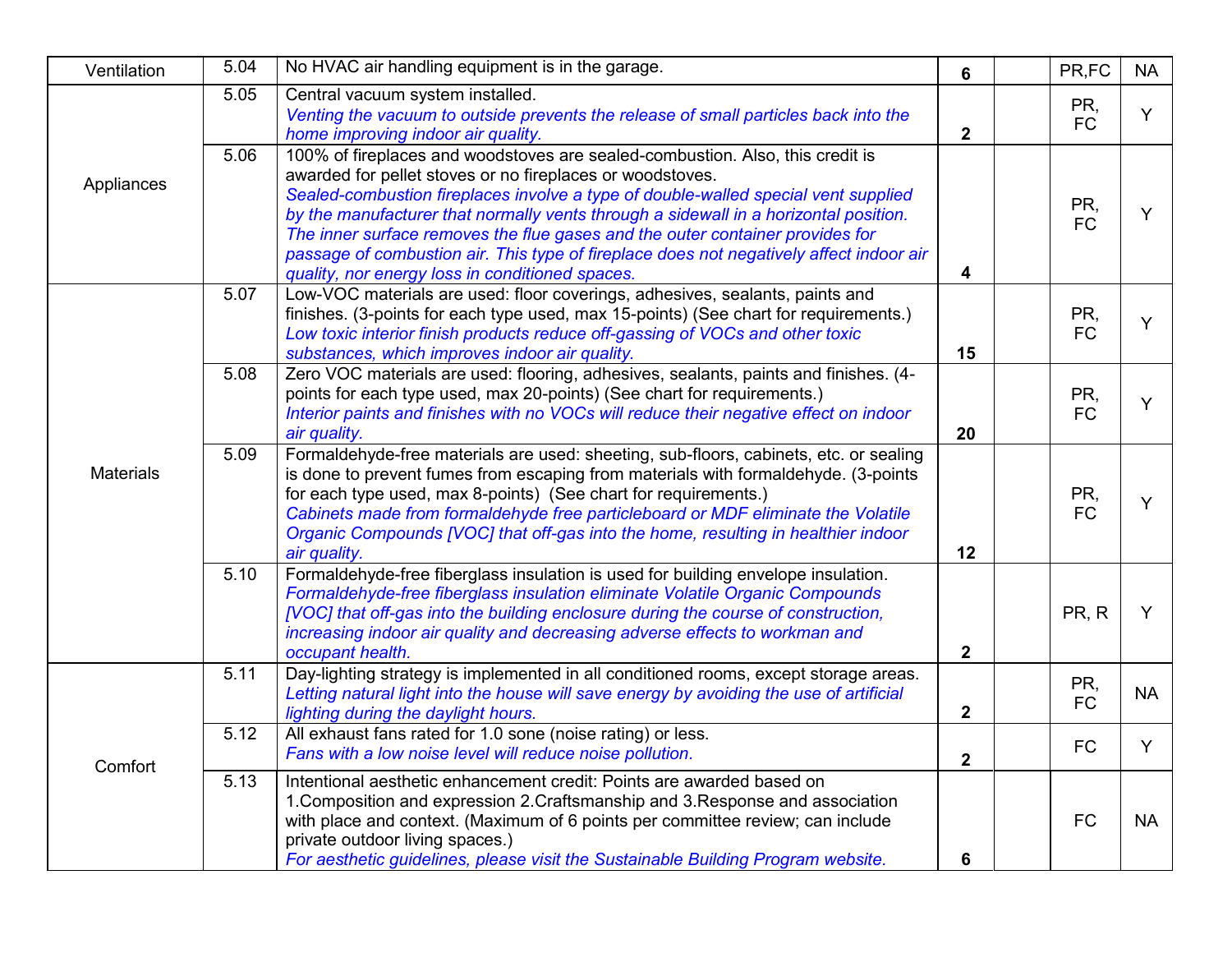| Ventilation      | 5.04 | No HVAC air handling equipment is in the garage.                                                                                                                                                                                                                                                                                                                                                                                                                                                                                                        | 6              | PR,FC            | <b>NA</b> |
|------------------|------|---------------------------------------------------------------------------------------------------------------------------------------------------------------------------------------------------------------------------------------------------------------------------------------------------------------------------------------------------------------------------------------------------------------------------------------------------------------------------------------------------------------------------------------------------------|----------------|------------------|-----------|
|                  | 5.05 | Central vacuum system installed.<br>Venting the vacuum to outside prevents the release of small particles back into the<br>home improving indoor air quality.                                                                                                                                                                                                                                                                                                                                                                                           | $\overline{2}$ | PR,<br><b>FC</b> | Y         |
| Appliances       | 5.06 | 100% of fireplaces and woodstoves are sealed-combustion. Also, this credit is<br>awarded for pellet stoves or no fireplaces or woodstoves.<br>Sealed-combustion fireplaces involve a type of double-walled special vent supplied<br>by the manufacturer that normally vents through a sidewall in a horizontal position.<br>The inner surface removes the flue gases and the outer container provides for<br>passage of combustion air. This type of fireplace does not negatively affect indoor air<br>quality, nor energy loss in conditioned spaces. | 4              | PR,<br><b>FC</b> | Y         |
|                  | 5.07 | Low-VOC materials are used: floor coverings, adhesives, sealants, paints and<br>finishes. (3-points for each type used, max 15-points) (See chart for requirements.)<br>Low toxic interior finish products reduce off-gassing of VOCs and other toxic<br>substances, which improves indoor air quality.                                                                                                                                                                                                                                                 | 15             | PR,<br><b>FC</b> | Y         |
|                  | 5.08 | Zero VOC materials are used: flooring, adhesives, sealants, paints and finishes. (4-<br>points for each type used, max 20-points) (See chart for requirements.)<br>Interior paints and finishes with no VOCs will reduce their negative effect on indoor<br>air quality.                                                                                                                                                                                                                                                                                | 20             | PR,<br><b>FC</b> | Y         |
| <b>Materials</b> | 5.09 | Formaldehyde-free materials are used: sheeting, sub-floors, cabinets, etc. or sealing<br>is done to prevent fumes from escaping from materials with formaldehyde. (3-points<br>for each type used, max 8-points) (See chart for requirements.)<br>Cabinets made from formaldehyde free particleboard or MDF eliminate the Volatile<br>Organic Compounds [VOC] that off-gas into the home, resulting in healthier indoor<br>air quality.                                                                                                                 | 12             | PR,<br><b>FC</b> | Y         |
|                  | 5.10 | Formaldehyde-free fiberglass insulation is used for building envelope insulation.<br>Formaldehyde-free fiberglass insulation eliminate Volatile Organic Compounds<br>[VOC] that off-gas into the building enclosure during the course of construction,<br>increasing indoor air quality and decreasing adverse effects to workman and<br>occupant health.                                                                                                                                                                                               | $\overline{2}$ | PR, R            | Y         |
|                  | 5.11 | Day-lighting strategy is implemented in all conditioned rooms, except storage areas.<br>Letting natural light into the house will save energy by avoiding the use of artificial<br>lighting during the daylight hours.                                                                                                                                                                                                                                                                                                                                  | $\mathbf{2}$   | PR,<br><b>FC</b> | <b>NA</b> |
| Comfort          | 5.12 | All exhaust fans rated for 1.0 sone (noise rating) or less.<br>Fans with a low noise level will reduce noise pollution.                                                                                                                                                                                                                                                                                                                                                                                                                                 | $\mathbf{2}$   | <b>FC</b>        | Y         |
|                  | 5.13 | Intentional aesthetic enhancement credit: Points are awarded based on<br>1. Composition and expression 2. Craftsmanship and 3. Response and association<br>with place and context. (Maximum of 6 points per committee review; can include<br>private outdoor living spaces.)<br>For aesthetic guidelines, please visit the Sustainable Building Program website.                                                                                                                                                                                        | 6              | <b>FC</b>        | <b>NA</b> |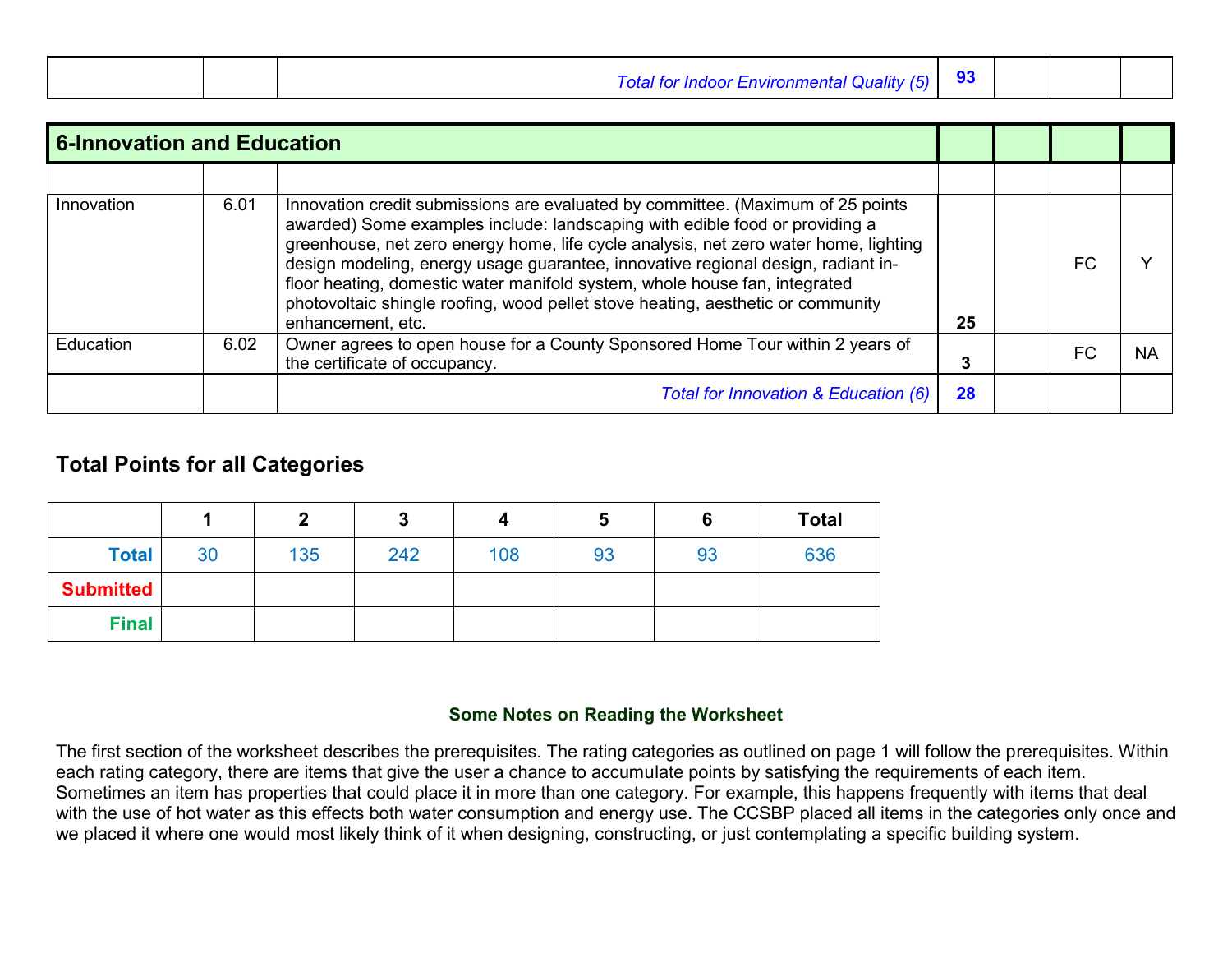|  | Total for Indoor Environmental Quality (5)   93 |  |  |
|--|-------------------------------------------------|--|--|
|  |                                                 |  |  |

| <b>6-Innovation and Education</b> |      |                                                                                                                                                                                                                                                                                                                                                                                                                                                                                                                                  |    |  |     |           |
|-----------------------------------|------|----------------------------------------------------------------------------------------------------------------------------------------------------------------------------------------------------------------------------------------------------------------------------------------------------------------------------------------------------------------------------------------------------------------------------------------------------------------------------------------------------------------------------------|----|--|-----|-----------|
|                                   |      |                                                                                                                                                                                                                                                                                                                                                                                                                                                                                                                                  |    |  |     |           |
| Innovation                        | 6.01 | Innovation credit submissions are evaluated by committee. (Maximum of 25 points<br>awarded) Some examples include: landscaping with edible food or providing a<br>greenhouse, net zero energy home, life cycle analysis, net zero water home, lighting<br>design modeling, energy usage guarantee, innovative regional design, radiant in-<br>floor heating, domestic water manifold system, whole house fan, integrated<br>photovoltaic shingle roofing, wood pellet stove heating, aesthetic or community<br>enhancement, etc. | 25 |  | FC. |           |
| Education                         | 6.02 | Owner agrees to open house for a County Sponsored Home Tour within 2 years of<br>the certificate of occupancy.                                                                                                                                                                                                                                                                                                                                                                                                                   |    |  | FC  | <b>NA</b> |
|                                   |      | Total for Innovation & Education (6)                                                                                                                                                                                                                                                                                                                                                                                                                                                                                             | 28 |  |     |           |

## **Total Points for all Categories**

|                  |    | m   | J   |     | Ð  |    | <b>Total</b> |
|------------------|----|-----|-----|-----|----|----|--------------|
| <b>Total</b>     | 30 | 135 | 242 | 108 | 93 | 93 | 636          |
| <b>Submitted</b> |    |     |     |     |    |    |              |
| <b>Final</b>     |    |     |     |     |    |    |              |

#### **Some Notes on Reading the Worksheet**

The first section of the worksheet describes the prerequisites. The rating categories as outlined on page 1 will follow the prerequisites. Within each rating category, there are items that give the user a chance to accumulate points by satisfying the requirements of each item. Sometimes an item has properties that could place it in more than one category. For example, this happens frequently with items that deal with the use of hot water as this effects both water consumption and energy use. The CCSBP placed all items in the categories only once and we placed it where one would most likely think of it when designing, constructing, or just contemplating a specific building system.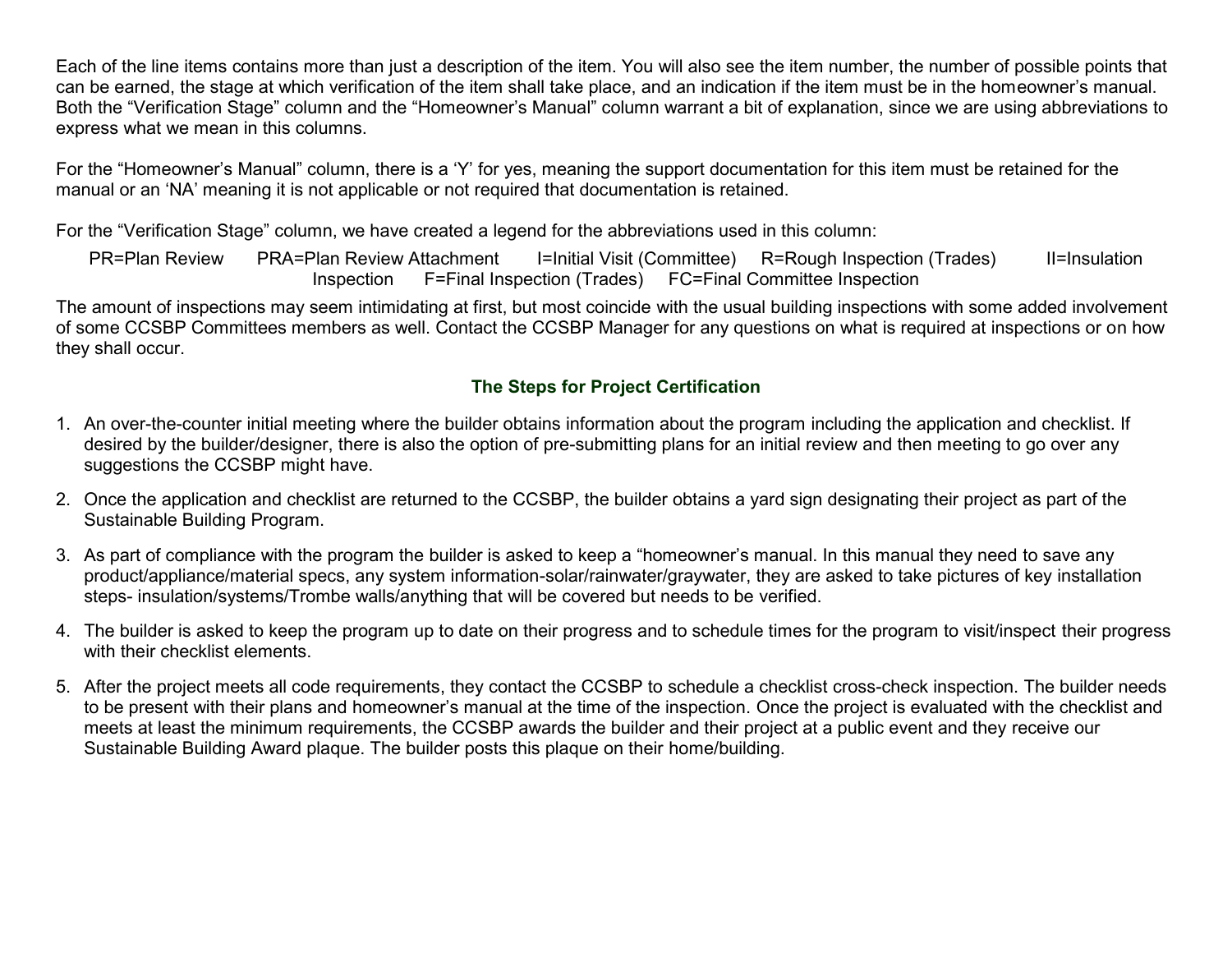Each of the line items contains more than just a description of the item. You will also see the item number, the number of possible points that can be earned, the stage at which verification of the item shall take place, and an indication if the item must be in the homeowner's manual. Both the "Verification Stage" column and the "Homeowner's Manual" column warrant a bit of explanation, since we are using abbreviations to express what we mean in this columns.

For the "Homeowner's Manual" column, there is a 'Y' for yes, meaning the support documentation for this item must be retained for the manual or an 'NA' meaning it is not applicable or not required that documentation is retained.

For the "Verification Stage" column, we have created a legend for the abbreviations used in this column:

PR=Plan Review PRA=Plan Review Attachment I=Initial Visit (Committee) R=Rough Inspection (Trades) II=Insulation Inspection F=Final Inspection (Trades) FC=Final Committee Inspection

The amount of inspections may seem intimidating at first, but most coincide with the usual building inspections with some added involvement of some CCSBP Committees members as well. Contact the CCSBP Manager for any questions on what is required at inspections or on how they shall occur.

## **The Steps for Project Certification**

- 1. An over-the-counter initial meeting where the builder obtains information about the program including the application and checklist. If desired by the builder/designer, there is also the option of pre-submitting plans for an initial review and then meeting to go over any suggestions the CCSBP might have.
- 2. Once the application and checklist are returned to the CCSBP, the builder obtains a yard sign designating their project as part of the Sustainable Building Program.
- 3. As part of compliance with the program the builder is asked to keep a "homeowner's manual. In this manual they need to save any product/appliance/material specs, any system information-solar/rainwater/graywater, they are asked to take pictures of key installation steps- insulation/systems/Trombe walls/anything that will be covered but needs to be verified.
- 4. The builder is asked to keep the program up to date on their progress and to schedule times for the program to visit/inspect their progress with their checklist elements.
- 5. After the project meets all code requirements, they contact the CCSBP to schedule a checklist cross-check inspection. The builder needs to be present with their plans and homeowner's manual at the time of the inspection. Once the project is evaluated with the checklist and meets at least the minimum requirements, the CCSBP awards the builder and their project at a public event and they receive our Sustainable Building Award plaque. The builder posts this plaque on their home/building.